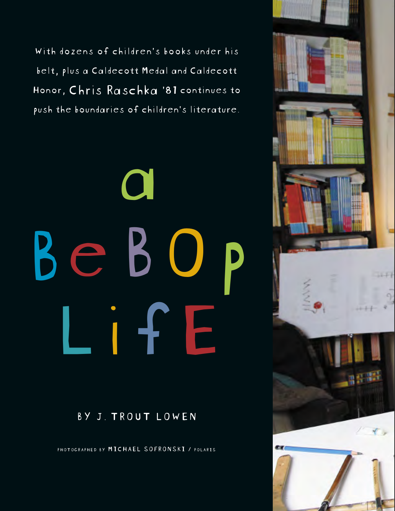With dozens of children's books under his belt, plus a Caldecott Medal and Caldecott Honor, Chris Raschka '81 continues to push the boundaries of children's literature.

# **a**  $BeBO$ LifE

BY J. TROUT LOWEN

PHOTOGRAPHED BY MICHAEL SOFRONSKI / POLARIS

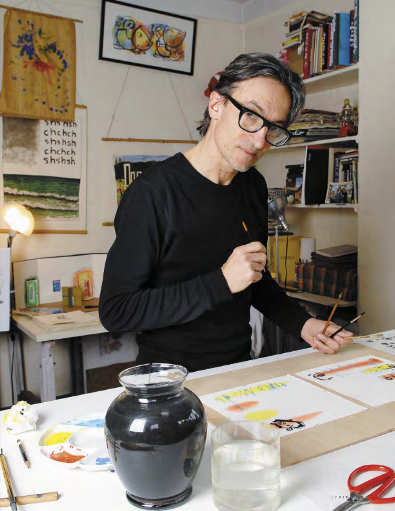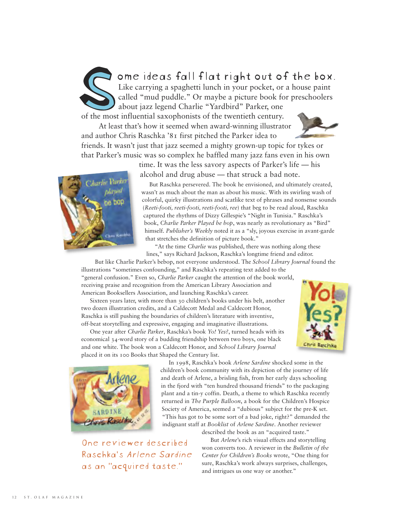ome ideas fall flat right out of the box. Like carrying a spaghetti lunch in your pocket, or a house paint

called "mud puddle." Or maybe a picture book for preschoolers about jazz legend Charlie "Yardbird" Parker, one

of the most influential saxophonists of the twentieth century. At least that's how it seemed when award-winning illustrator

and author Chris Raschka '81 first pitched the Parker idea to friends. It wasn't just that jazz seemed a mighty grown-up topic for tykes or that Parker's music was so complex he baffled many jazz fans even in his own





time. It was the less savory aspects of Parker's life — his alcohol and drug abuse — that struck a bad note.

But Raschka persevered. The book he envisioned, and ultimately created, wasn't as much about the man as about his music. With its swirling wash of colorful, quirky illustrations and scatlike text of phrases and nonsense sounds (*Reeti-footi, reeti-footi, reeti-footi, ree*) that beg to be read aloud, Raschka captured the rhythms of Dizzy Gillespie's "Night in Tunisia." Raschka's book, *Charlie Parker Played be bop*, was nearly as revolutionary as "Bird" himself. *Publisher's Weekly* noted it as a "sly, joyous exercise in avant-garde that stretches the definition of picture book."

"At the time *Charlie* was published, there was nothing along these lines," says Richard Jackson, Raschka's longtime friend and editor.

But like Charlie Parker's bebop, not everyone understood. The *School Library Journal* found the illustrations "sometimes confounding," and Raschka's repeating text added to the "general confusion." Even so, *Charlie Parker* caught the attention of the book world, receiving praise and recognition from the American Library Association and

American Booksellers Association, and launching Raschka's career. Sixteen years later, with more than 30 children's books under his belt, another

two dozen illustration credits, and a Caldecott Medal and Caldecott Honor, Raschka is still pushing the boundaries of children's literature with inventive, off-beat storytelling and expressive, engaging and imaginative illustrations.

One year after *Charlie Parker*, Raschka's book *Yo! Yes?*, turned heads with its economical 34-word story of a budding friendship between two boys, one black and one white. The book won a Caldecott Honor, and *School Library Journal* placed it on its 100 Books that Shaped the Century list.





In 1998, Raschka's book *Arlene Sardine* shocked some in the children's book community with its depiction of the journey of life and death of Arlene, a brisling fish, from her early days schooling in the fjord with "ten hundred thousand friends" to the packaging plant and a tin-y coffin. Death, a theme to which Raschka recently returned in *The Purple Balloon*, a book for the Children's Hospice Society of America, seemed a "dubious" subject for the pre-K set. "This has got to be some sort of a bad joke, right?" demanded the indignant staff at *Booklist* of *Arlene Sardine*. Another reviewer

described the book as an "acquired taste."

One reviewer described Raschka's Arlene Sardine as an "acquired taste."

But *Arlene*'s rich visual effects and storytelling won converts too. A reviewer in the *Bulletin of the Center for Children's Books* wrote, "One thing for sure, Raschka's work always surprises, challenges, and intrigues us one way or another."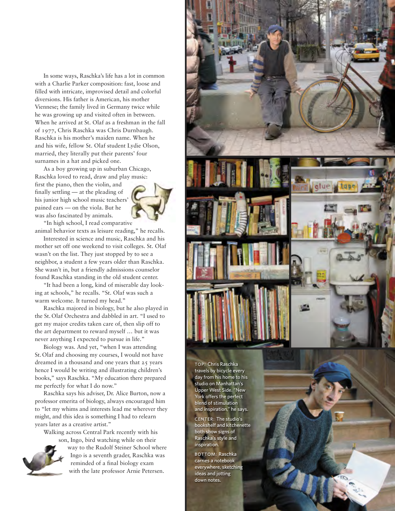In some ways, Raschka's life has a lot in common with a Charlie Parker composition: fast, loose and filled with intricate, improvised detail and colorful diversions. His father is American, his mother Viennese; the family lived in Germany twice while he was growing up and visited often in between. When he arrived at St. Olaf as a freshman in the fall of 1977, Chris Raschka was Chris Durnbaugh. Raschka is his mother's maiden name. When he and his wife, fellow St. Olaf student Lydie Olson, married, they literally put their parents' four surnames in a hat and picked one.

As a boy growing up in suburban Chicago, Raschka loved to read, draw and play music:

first the piano, then the violin, and finally settling — at the pleading of his junior high school music teachers' pained ears — on the viola. But he was also fascinated by animals.



"In high school, I read comparative animal behavior texts as leisure reading," he recalls.

Interested in science and music, Raschka and his mother set off one weekend to visit colleges. St. Olaf wasn't on the list. They just stopped by to see a neighbor, a student a few years older than Raschka. She wasn't in, but a friendly admissions counselor found Raschka standing in the old student center.

"It had been a long, kind of miserable day looking at schools," he recalls. "St. Olaf was such a warm welcome. It turned my head."

Raschka majored in biology, but he also played in the St. Olaf Orchestra and dabbled in art. "I used to get my major credits taken care of, then slip off to the art department to reward myself … but it was never anything I expected to pursue in life."

Biology was. And yet, "when I was attending St. Olaf and choosing my courses, I would not have dreamed in a thousand and one years that 25 years hence I would be writing and illustrating children's books," says Raschka. "My education there prepared me perfectly for what I do now."

Raschka says his adviser, Dr. Alice Burton, now a professor emerita of biology, always encouraged him to "let my whims and interests lead me wherever they might, and this idea is something I had to relearn years later as a creative artist."

Walking across Central Park recently with his son, Ingo, bird watching while on their



way to the Rudolf Steiner School where Ingo is a seventh grader, Raschka was reminded of a final biology exam with the late professor Arnie Petersen.



TOP: Chris Raschka travels by bicycle every day from his home to his studio on Manhattan's Upper West Side. "New York offers the perfect blend of stimulation and inspiration," he says.

CENTER: The studio's bookshelf and kitchenette both show signs of Raschka's style and inspiration.

BOTTOM: Raschka carries a notebook everywhere, sketching ideas and jotting down notes.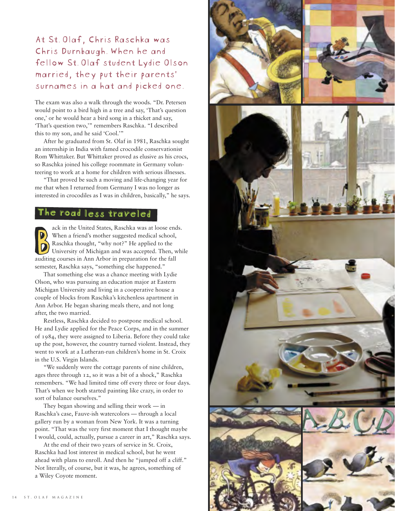## At St.Olaf, Chris Raschka was Chris Durnbaugh. When he and fellow St.Olaf student Lydie Olson married, they put their parents' surnames in a hat and picked one.

The exam was also a walk through the woods. "Dr. Petersen would point to a bird high in a tree and say, 'That's question one,' or he would hear a bird song in a thicket and say, 'That's question two,'" remembers Raschka. "I described this to my son, and he said 'Cool.'"

After he graduated from St. Olaf in 1981, Raschka sought an internship in India with famed crocodile conservationist Rom Whittaker. But Whittaker proved as elusive as his crocs, so Raschka joined his college roommate in Germany volunteering to work at a home for children with serious illnesses.

"That proved be such a moving and life-changing year for me that when I returned from Germany I was no longer as interested in crocodiles as I was in children, basically," he says.

### The road less traveled

**B** ack in the United States, Raschka was at loose ends. When a friend's mother suggested medical school, Raschka thought, "why not?" He applied to the University of Michigan and was accepted. Then, while auditing courses in Ann Arbor in preparation for the fall semester, Raschka says, "something else happened."

That something else was a chance meeting with Lydie Olson, who was pursuing an education major at Eastern Michigan University and living in a cooperative house a couple of blocks from Raschka's kitchenless apartment in Ann Arbor. He began sharing meals there, and not long after, the two married.

Restless, Raschka decided to postpone medical school. He and Lydie applied for the Peace Corps, and in the summer of 1984, they were assigned to Liberia. Before they could take up the post, however, the country turned violent. Instead, they went to work at a Lutheran-run children's home in St. Croix in the U.S. Virgin Islands.

"We suddenly were the cottage parents of nine children, ages three through 12, so it was a bit of a shock," Raschka remembers. "We had limited time off every three or four days. That's when we both started painting like crazy, in order to sort of balance ourselves."

They began showing and selling their work — in Raschka's case, Fauve-ish watercolors — through a local gallery run by a woman from New York. It was a turning point. "That was the very first moment that I thought maybe I would, could, actually, pursue a career in art," Raschka says.

At the end of their two years of service in St. Croix, Raschka had lost interest in medical school, but he went ahead with plans to enroll. And then he "jumped off a cliff." Not literally, of course, but it was, he agrees, something of a Wiley Coyote moment.

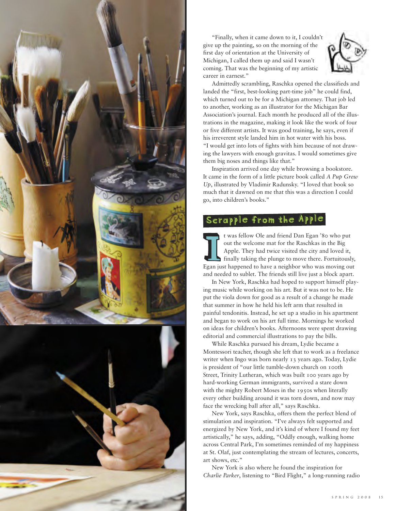

"Finally, when it came down to it, I couldn't give up the painting, so on the morning of the first day of orientation at the University of Michigan, I called them up and said I wasn't coming. That was the beginning of my artistic career in earnest."



Admittedly scrambling, Raschka opened the classifieds and landed the "first, best-looking part-time job" he could find, which turned out to be for a Michigan attorney. That job led to another, working as an illustrator for the Michigan Bar Association's journal. Each month he produced all of the illustrations in the magazine, making it look like the work of four or five different artists. It was good training, he says, even if his irreverent style landed him in hot water with his boss. "I would get into lots of fights with him because of not drawing the lawyers with enough gravitas. I would sometimes give them big noses and things like that."

Inspiration arrived one day while browsing a bookstore. It came in the form of a little picture book called *A Pup Grew Up*, illustrated by Vladimir Radunsky. "I loved that book so much that it dawned on me that this was a direction I could go, into children's books."

### Scrapple from the Apple

**I** t was fellow Ole and friend Dan Egan '80 who put out the welcome mat for the Raschkas in the Big Apple. They had twice visited the city and loved it, finally taking the plunge to move there. Fortuitously, Egan just happened to have a neighbor who was moving out and needed to sublet. The friends still live just a block apart.

In New York, Raschka had hoped to support himself playing music while working on his art. But it was not to be. He put the viola down for good as a result of a change he made that summer in how he held his left arm that resulted in painful tendonitis. Instead, he set up a studio in his apartment and began to work on his art full time. Mornings he worked on ideas for children's books. Afternoons were spent drawing editorial and commercial illustrations to pay the bills.

While Raschka pursued his dream, Lydie became a Montessori teacher, though she left that to work as a freelance writer when Ingo was born nearly 13 years ago. Today, Lydie is president of "our little tumble-down church on 100th Street, Trinity Lutheran, which was built 100 years ago by hard-working German immigrants, survived a stare down with the mighty Robert Moses in the 1950s when literally every other building around it was torn down, and now may face the wrecking ball after all," says Raschka.

New York, says Raschka, offers them the perfect blend of stimulation and inspiration. "I've always felt supported and energized by New York, and it's kind of where I found my feet artistically," he says, adding, "Oddly enough, walking home across Central Park, I'm sometimes reminded of my happiness at St. Olaf, just contemplating the stream of lectures, concerts, art shows, etc."

New York is also where he found the inspiration for *Charlie Parker*, listening to "Bird Flight," a long-running radio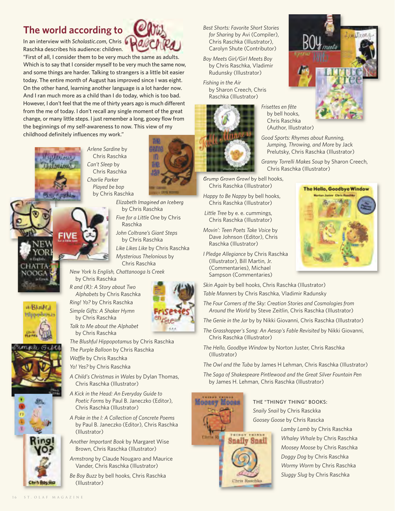# **The world according to**

In an interview with *Scholastic.com*, Chris Raschka describes his audience: children.

"First of all, I consider them to be very much the same as adults. Which is to say that I consider myself to be very much the same now, and some things are harder. Talking to strangers is a little bit easier today. The entire month of August has improved since I was eight. On the other hand, learning another language is a lot harder now. And I ran much more as a child than I do today, which is too bad. However, I don't feel that the me of thirty years ago is much different from the me of today. I don't recall any single moment of the great change, or many little steps. I just remember a long, gooey flow from the beginnings of my self-awareness to now. This view of my childhood definitely influences my work."



FIVE

OGA

**WBAISKA Hippywornus**  *Arlene Sardine* by Chris Raschka *Can't Sleep* by Chris Raschka *Charlie Parker Played be bop* by Chris Raschka



*Elizabeth Imagined an Iceberg* by Chris Raschka

*Five for a Little One* by Chris Raschka

*John Coltrane's Giant Steps* by Chris Raschka *Like Likes Like* by Chris Raschka *Mysterious Thelonious* by Chris Raschka

*New York Is English, Chattanooga Is Creek* by Chris Raschka

*R and (R): A Story about Two Alphabets* by Chris Raschka

*Ring! Yo?* by Chris Raschka *Simple Gifts: A Shaker Hymn* by Chris Raschka

*Talk to Me about the Alphabet* by Chris Raschka

*The Blushful Hippopotamus* by Chris Raschka *The Purple Balloon* by Chris Raschka *Waffle* by Chris Raschka *Yo! Yes?* by Chris Raschka

- 
- *A Child's Christmas in Wales* by Dylan Thomas, Chris Raschka (Illustrator)
- *A Kick in the Head: An Everyday Guide to Poetic Forms* by Paul B. Janeczko (Editor), Chris Raschka (Illustrator)
- *A Poke in the I: A Collection of Concrete Poems* by Paul B. Janeczko (Editor), Chris Raschka (Illustrator)
- *Another Important Book* by Margaret Wise Brown, Chris Raschka (Illustrator)
- *Armstrong* by Claude Nougaro and Maurice Vander, Chris Raschka (Illustrator)
- *Be Boy Buzz* by bell hooks, Chris Raschka (Illustrator)

*Best Shorts: Favorite Short Stories for Sharing* by Avi (Compiler), Chris Raschka (Illustrator), Carolyn Shute (Contributor)

*Boy Meets Girl/Girl Meets Boy* by Chris Raschka, Vladimir Rudunsky (Illustrator)

*Fishing in the Air* by Sharon Creech, Chris Raschka (Illustrator)



*Grump Grown Growl* by bell hooks, Chris Raschka (Illustrator)

*Happy to Be Nappy* by bell hooks, Chris Raschka (Illustrator)

- *Little Tree* by e. e. cummings, Chris Raschka (Illustrator)
- *Movin': Teen Poets Take Voice* by Dave Johnson (Editor), Chris Raschka (Illustrator)
- *I Pledge Allegiance* by Chris Raschka (Illustrator), Bill Martin, Jr. (Commentaries), Michael Sampson (Commentaries)

*Skin Again* by bell hooks, Chris Raschka (Illustrator) *Table Manners* by Chris Raschka, Vladimir Radunsky

- *The Four Corners of the Sky: Creation Stories and Cosmologies from Around the World* by Steve Zeitlin, Chris Raschka (Illustrator)
- *The Genie in the Jar* by by Nikki Giovanni, Chris Raschka (Illustrator)
- *The Grasshopper's Song: An Aesop's Fable Revisited* by Nikki Giovanni, Chris Raschka (Illustrator)
- *The Hello, Goodbye Window* by Norton Juster, Chris Raschka (Illustrator)
- *The Owl and the Tuba* by James H Lehman, Chris Raschka (Illustrator)
- *The Saga of Shakespeare Pintlewood and the Great Silver Fountain Pen* by James H. Lehman, Chris Raschka (Illustrator)



THE "THINGY THING" BOOKS: *Snaily Snail* by Chris Rasckka *Goosey Goose* by Chris Rascka

> *Lamby Lamb* by Chris Raschka *Whaley Whale* by Chris Raschka *Moosey Moose* by Chris Raschka *Doggy Dog* by Chris Raschka *Wormy Worm* by Chris Raschka *Sluggy Slug* by Chris Raschka



The Hello, Goodbye Window

Norton Juster Chris Reschi

*Good Sports: Rhymes about Running, Jumping, Throwing, and More* by Jack Prelutsky, Chris Raschka (Illustrator) *Granny Torrelli Makes Soup* by Sharon Creech,

Chris Raschka (Illustrator)



Chris Raschia

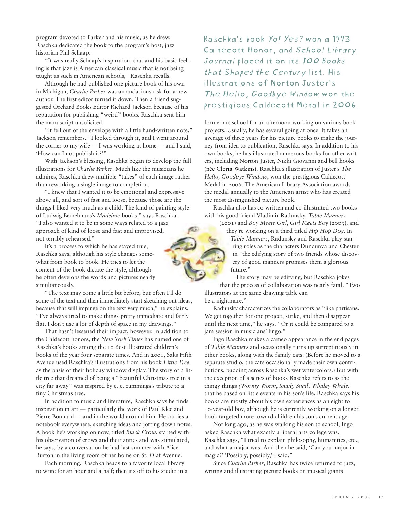program devoted to Parker and his music, as he drew. Raschka dedicated the book to the program's host, jazz historian Phil Schaap.

"It was really Schaap's inspiration, that and his basic feeling is that jazz is American classical music that is not being taught as such in American schools," Raschka recalls.

Although he had published one picture book of his own in Michigan, *Charlie Parker* was an audacious risk for a new author. The first editor turned it down. Then a friend suggested Orchard Books Editor Richard Jackson because of his reputation for publishing "weird" books. Raschka sent him the manuscript unsolicited.

"It fell out of the envelope with a little hand-written note," Jackson remembers. "I looked through it, and I went around the corner to my wife — I was working at home — and I said, 'How can I not publish it?'"

With Jackson's blessing, Raschka began to develop the full illustrations for *Charlie Parker*. Much like the musicians he admires, Raschka drew multiple "takes" of each image rather than reworking a single image to completion.

"I knew that I wanted it to be emotional and expressive above all, and sort of fast and loose, because those are the things I liked very much as a child. The kind of painting style of Ludwig Bemelmans's *Madeline* books," says Raschka. "I also wanted it to be in some ways related to a jazz approach of kind of loose and fast and improvised, not terribly rehearsed."

It's a process to which he has stayed true, Raschka says, although his style changes somewhat from book to book. He tries to let the content of the book dictate the style, although he often develops the words and pictures nearly simultaneously.

"The text may come a little bit before, but often I'll do some of the text and then immediately start sketching out ideas, because that will impinge on the text very much," he explains. "I've always tried to make things pretty immediate and fairly flat. I don't use a lot of depth of space in my drawings."

That hasn't lessened their impact, however. In addition to the Caldecott honors, the *New York Times* has named one of Raschka's books among the 10 Best Illustrated children's books of the year four separate times. And in 2001, Saks Fifth Avenue used Raschka's illustrations from his book *Little Tree* as the basis of their holiday window display. The story of a little tree that dreamed of being a "beautiful Christmas tree in a city far away" was inspired by e. e. cummings's tribute to a tiny Christmas tree.

In addition to music and literature, Raschka says he finds inspiration in art — particularly the work of Paul Klee and Pierre Bonnard — and in the world around him. He carries a notebook everywhere, sketching ideas and jotting down notes. A book he's working on now, titled *Black Crow*, started with his observation of crows and their antics and was stimulated, he says, by a conversation he had last summer with Alice Burton in the living room of her home on St. Olaf Avenue.

Each morning, Raschka heads to a favorite local library to write for an hour and a half; then it's off to his studio in a Raschka's book Yo! Yes? won a 1993 Caldecott Honor, and School Library Journal placed it on its 100 Books that Shaped the Century list. His illustrations of Norton Juster's The Hello, Goodbye Window won the prestigious Caldecott Medal in 2006.

former art school for an afternoon working on various book projects. Usually, he has several going at once. It takes an average of three years for his picture books to make the journey from idea to publication, Raschka says. In addition to his own books, he has illustrated numerous books for other writers, including Norton Juster, Nikki Giovanni and bell hooks (née Gloria Watkins). Raschka's illustration of Juster's *The Hello, Goodbye Window*, won the prestigious Caldecott Medal in 2006. The American Library Association awards the medal annually to the American artist who has created the most distinguished picture book.

Raschka also has co-written and co-illustrated two books with his good friend Vladimir Radunsky, *Table Manners*

(2001) and *Boy Meets Girl, Girl Meets Boy* (2003)*,* and

they're working on a third titled *Hip Hop Dog*. In *Table Manners*, Radunsky and Raschka play starring roles as the characters Dundunya and Chester

in "the edifying story of two friends whose discovery of good manners promises them a glorious future."

The story may be edifying, but Raschka jokes that the process of collaboration was nearly fatal. "Two illustrators at the same drawing table can be a nightmare."

Radunsky characterizes the collaborators as "like partisans. We get together for one project, strike, and then disappear until the next time," he says. "Or it could be compared to a jam session in musicians' lingo."

Ingo Raschka makes a cameo appearance in the end pages of *Table Manners* and occasionally turns up surreptitiously in other books, along with the family cats. (Before he moved to a separate studio, the cats occasionally made their own contributions, padding across Raschka's wet watercolors.) But with the exception of a series of books Raschka refers to as the thingy things *(Wormy Worm*, *Snaily Snail*, *Whaley Whale)* that he based on little events in his son's life, Raschka says his books are mostly about his own experiences as an eight to 10-year-old boy, although he is currently working on a longer book targeted more toward children his son's current age.

Not long ago, as he was walking his son to school, Ingo asked Raschka what exactly a liberal arts college was. Raschka says, "I tried to explain philosophy, humanities, etc., and what a major was. And then he said, 'Can you major in magic?' 'Possibly, possibly,' I said."

Since *Charlie Parker*, Raschka has twice returned to jazz, writing and illustrating picture books on musical giants